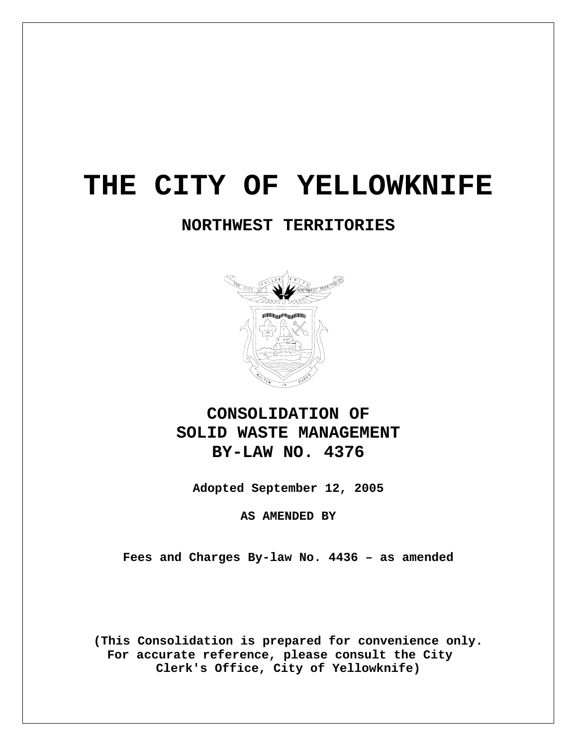# **THE CITY OF YELLOWKNIFE**

## **NORTHWEST TERRITORIES**



## **CONSOLIDATION OF SOLID WASTE MANAGEMENT BY-LAW NO. 4376**

**Adopted September 12, 2005** 

**AS AMENDED BY** 

**Fees and Charges By-law No. 4436 – as amended** 

**(This Consolidation is prepared for convenience only. For accurate reference, please consult the City Clerk's Office, City of Yellowknife)**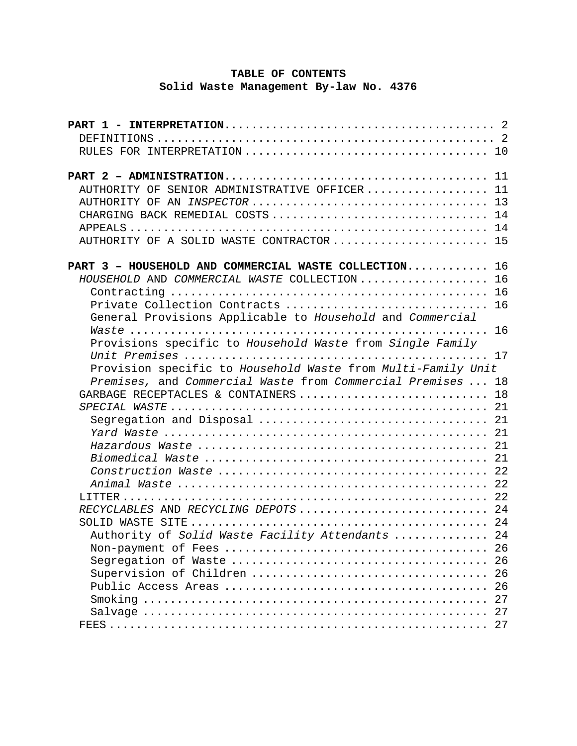## **TABLE OF CONTENTS Solid Waste Management By-law No. 4376**

| AUTHORITY OF SENIOR ADMINISTRATIVE OFFICER 11                |
|--------------------------------------------------------------|
|                                                              |
| CHARGING BACK REMEDIAL COSTS  14                             |
|                                                              |
| AUTHORITY OF A SOLID WASTE CONTRACTOR  15                    |
| PART 3 - HOUSEHOLD AND COMMERCIAL WASTE COLLECTION 16        |
| HOUSEHOLD AND COMMERCIAL WASTE COLLECTION  16                |
|                                                              |
| Private Collection Contracts<br>16                           |
| General Provisions Applicable to Household and Commercial    |
|                                                              |
| Provisions specific to Household Waste from Single Family    |
|                                                              |
| Provision specific to Household Waste from Multi-Family Unit |
| Premises, and Commercial Waste from Commercial Premises  18  |
| GARBAGE RECEPTACLES & CONTAINERS  18                         |
|                                                              |
|                                                              |
|                                                              |
|                                                              |
|                                                              |
|                                                              |
|                                                              |
|                                                              |
| RECYCLABLES AND RECYCLING DEPOTS 24                          |
|                                                              |
| Authority of Solid Waste Facility Attendants  24             |
| 26                                                           |
| 26                                                           |
| 26                                                           |
| 26                                                           |
| 27                                                           |
| 27                                                           |
| 27                                                           |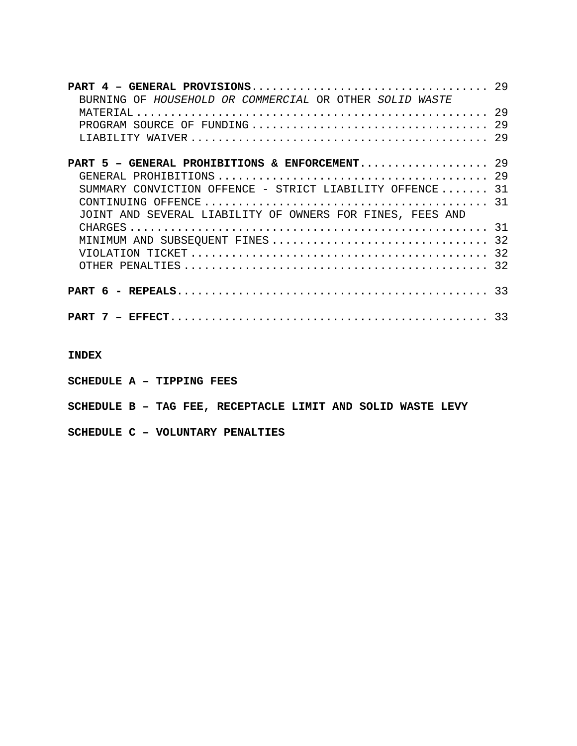| BURNING OF HOUSEHOLD OR COMMERCIAL OR OTHER SOLID WASTE   |  |
|-----------------------------------------------------------|--|
|                                                           |  |
|                                                           |  |
|                                                           |  |
| <b>PART 5 - GENERAL PROHIBITIONS &amp; ENFORCEMENT</b> 29 |  |
|                                                           |  |
| SUMMARY CONVICTION OFFENCE - STRICT LIABILITY OFFENCE 31  |  |
|                                                           |  |
| JOINT AND SEVERAL LIABILITY OF OWNERS FOR FINES, FEES AND |  |
|                                                           |  |
| MINIMUM AND SUBSEQUENT FINES  32                          |  |
|                                                           |  |
|                                                           |  |
|                                                           |  |
|                                                           |  |

**INDEX** 

**SCHEDULE A – TIPPING FEES** 

**SCHEDULE B – TAG FEE, RECEPTACLE LIMIT AND SOLID WASTE LEVY** 

**SCHEDULE C – VOLUNTARY PENALTIES**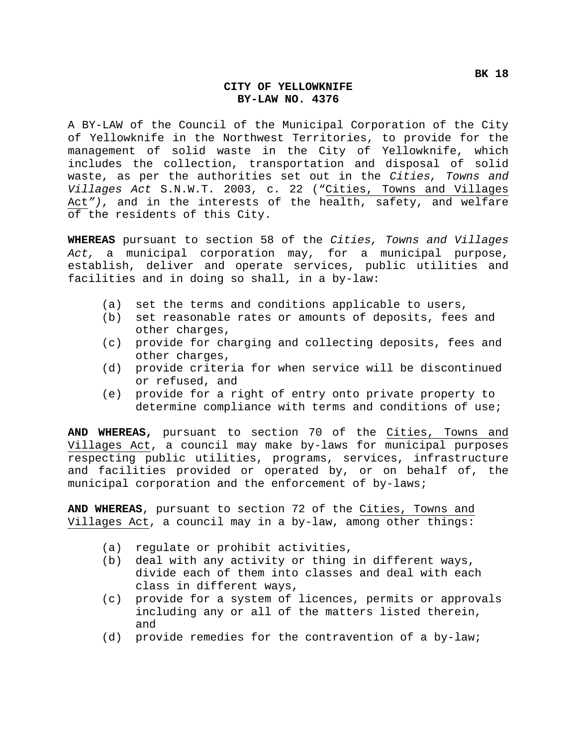#### **CITY OF YELLOWKNIFE BY-LAW NO. 4376**

A BY-LAW of the Council of the Municipal Corporation of the City of Yellowknife in the Northwest Territories, to provide for the management of solid waste in the City of Yellowknife, which includes the collection, transportation and disposal of solid waste, as per the authorities set out in the *Cities, Towns and Villages Act* S.N.W.T. 2003, c. 22 ("Cities, Towns and Villages Act*")*, and in the interests of the health, safety, and welfare of the residents of this City.

**WHEREAS** pursuant to section 58 of the *Cities, Towns and Villages Act,* a municipal corporation may, for a municipal purpose, establish, deliver and operate services, public utilities and facilities and in doing so shall, in a by-law:

- (a) set the terms and conditions applicable to users,
- (b) set reasonable rates or amounts of deposits, fees and other charges,
- (c) provide for charging and collecting deposits, fees and other charges,
- (d) provide criteria for when service will be discontinued or refused, and
- (e) provide for a right of entry onto private property to determine compliance with terms and conditions of use;

**AND WHEREAS,** pursuant to section 70 of the Cities, Towns and Villages Act, a council may make by-laws for municipal purposes respecting public utilities, programs, services, infrastructure and facilities provided or operated by, or on behalf of, the municipal corporation and the enforcement of by-laws;

**AND WHEREAS**, pursuant to section 72 of the Cities, Towns and Villages Act, a council may in a by-law, among other things:

- (a) regulate or prohibit activities,
- (b) deal with any activity or thing in different ways, divide each of them into classes and deal with each class in different ways,
- (c) provide for a system of licences, permits or approvals including any or all of the matters listed therein, and
- (d) provide remedies for the contravention of a by-law;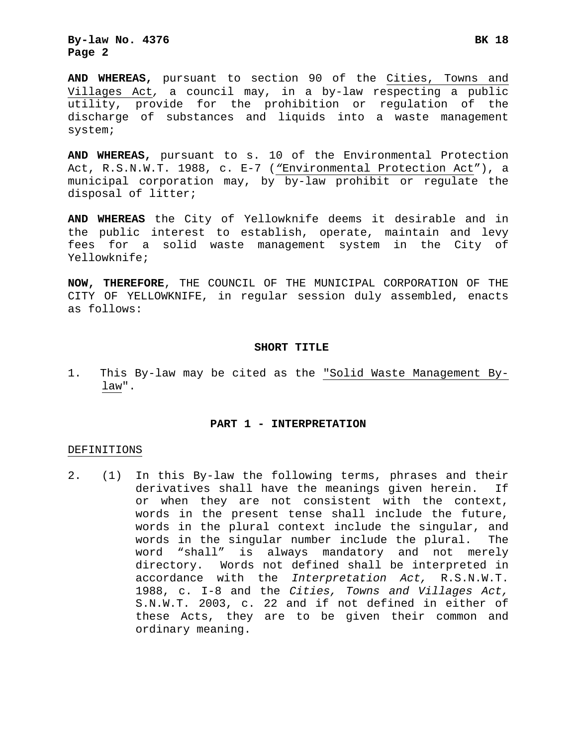**By-law No. 4376 BK 18 Page 2**

**AND WHEREAS,** pursuant to section 90 of the Cities, Towns and Villages Act*,* a council may, in a by-law respecting a public utility, provide for the prohibition or regulation of the discharge of substances and liquids into a waste management system;

**AND WHEREAS,** pursuant to s. 10 of the Environmental Protection Act, R.S.N.W.T. 1988, c. E-7 (*"*Environmental Protection Act"), a municipal corporation may, by by-law prohibit or regulate the disposal of litter;

**AND WHEREAS** the City of Yellowknife deems it desirable and in the public interest to establish, operate, maintain and levy fees for a solid waste management system in the City of Yellowknife;

**NOW, THEREFORE**, THE COUNCIL OF THE MUNICIPAL CORPORATION OF THE CITY OF YELLOWKNIFE, in regular session duly assembled, enacts as follows:

#### **SHORT TITLE**

1. This By-law may be cited as the "Solid Waste Management Bylaw".

#### **PART 1 - INTERPRETATION**

#### DEFINITIONS

2. (1) In this By-law the following terms, phrases and their derivatives shall have the meanings given herein. If or when they are not consistent with the context, words in the present tense shall include the future, words in the plural context include the singular, and words in the singular number include the plural. The word "shall" is always mandatory and not merely directory. Words not defined shall be interpreted in accordance with the *Interpretation Act,* R.S.N.W.T. 1988, c. I-8 and the *Cities, Towns and Villages Act,*  S.N.W.T. 2003, c. 22 and if not defined in either of these Acts, they are to be given their common and ordinary meaning.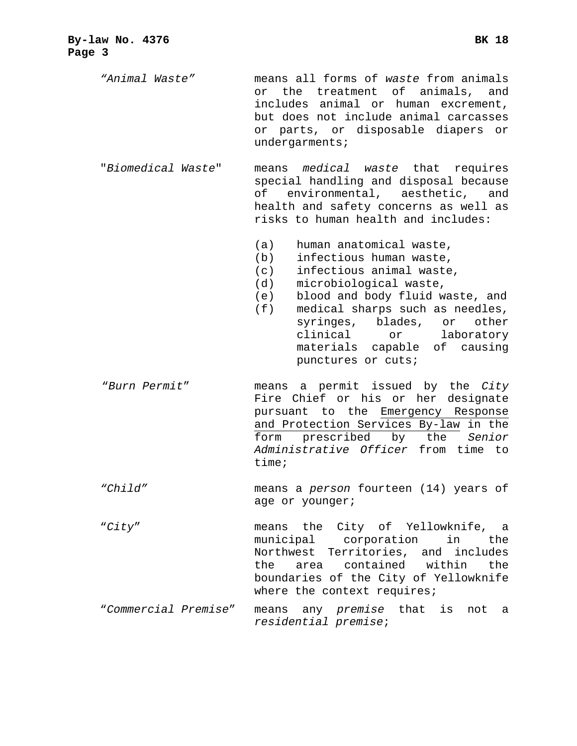*"Animal Waste"* means all forms of *waste* from animals or the treatment of animals, and includes animal or human excrement, but does not include animal carcasses or parts, or disposable diapers or undergarments;

- "*Biomedical Waste*" means *medical waste* that requires special handling and disposal because of environmental, aesthetic, and health and safety concerns as well as risks to human health and includes:
	- (a) human anatomical waste,
	- (b) infectious human waste,
	- (c) infectious animal waste,
	- (d) microbiological waste,
	- (e) blood and body fluid waste, and
	- (f) medical sharps such as needles, syringes, blades, or other clinical or laboratory materials capable of causing punctures or cuts;
- "*Burn Permit*" means a permit issued by the *City*  Fire Chief or his or her designate pursuant to the Emergency Response and Protection Services By-law in the form prescribed by the *Senior Administrative Officer* from time to time;
- *"Child"* means a *person* fourteen (14) years of age or younger;
- "*City*" means the City of Yellowknife, a municipal corporation in the Northwest Territories, and includes the area contained within the boundaries of the City of Yellowknife where the context requires;
- "*Commercial Premise*" means any *premise* that is not a *residential premise*;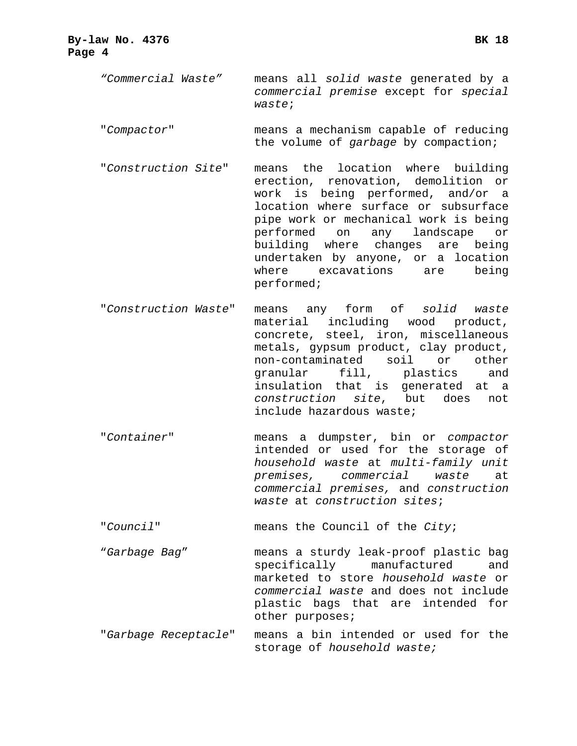- *"Commercial Waste"* means all *solid waste* generated by a *commercial premise* except for *special waste*;
- "*Compactor*" means a mechanism capable of reducing the volume of *garbage* by compaction;
- "*Construction Site*" means the location where building erection, renovation, demolition or work is being performed, and/or a location where surface or subsurface pipe work or mechanical work is being performed on any landscape or building where changes are being undertaken by anyone, or a location where excavations are being performed;
- "*Construction Waste*" means any form of *solid waste* material including wood product, concrete, steel, iron, miscellaneous metals, gypsum product, clay product, non-contaminated soil or other granular fill, plastics and insulation that is generated at a *construction site*, but does not include hazardous waste;
- "*Container*" means a dumpster, bin or *compactor* intended or used for the storage of *household waste* at *multi-family unit premises, commercial waste* at *commercial premises,* and *construction waste* at *construction sites*;
- "*Council*" means the Council of the *City*;
- "*Garbage Bag*" means a sturdy leak-proof plastic bag specifically manufactured and marketed to store *household waste* or *commercial waste* and does not include plastic bags that are intended for other purposes;
- "*Garbage Receptacle*" means a bin intended or used for the storage of *household waste;*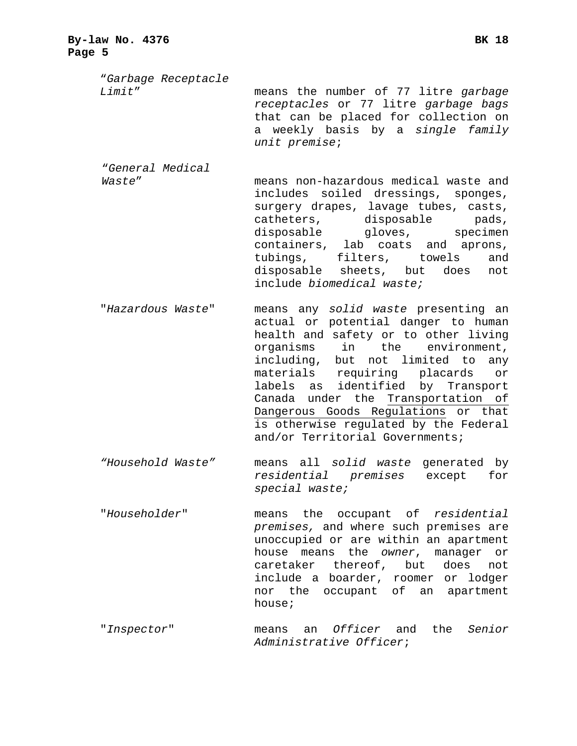| By-law No. 4376<br>Page 5         | BK 18                                                                                                                                                                                                                                                                                                                                |
|-----------------------------------|--------------------------------------------------------------------------------------------------------------------------------------------------------------------------------------------------------------------------------------------------------------------------------------------------------------------------------------|
| "Garbage Receptacle<br>Limit"     | means the number of 77 litre garbage<br>receptacles or 77 litre garbage bags<br>that can be placed for collection on<br>a weekly basis by a single family<br>unit premise;                                                                                                                                                           |
| <i>"General Medical</i><br>Waste" | means non-hazardous medical waste and<br>includes soiled dressings, sponges,<br>surgery drapes, lavage tubes, casts,<br>catheters, disposable pads,<br>disposable gloves, specimen<br>containers, lab coats and aprons,<br>tubings, filters, towels<br>and<br>disposable sheets, but does<br>not<br>include <i>biomedical</i> waste; |
| "Hazardous Waste"                 | means any solid waste presenting an<br>actual or potential danger to human<br>health and safety or to other living<br>in the environment.<br>organisms                                                                                                                                                                               |

- organisms in the environment, including, but not limited to any materials requiring placards or labels as identified by Transport Canada under the Transportation of Dangerous Goods Regulations or that is otherwise regulated by the Federal and/or Territorial Governments;
- *"Household Waste"* means all *solid waste* generated by *residential premises* except for *special waste;*
- "*Householder*" means the occupant of *residential premises,* and where such premises are unoccupied or are within an apartment house means the *owner*, manager or caretaker thereof, but does not include a boarder, roomer or lodger nor the occupant of an apartment house;
- "*Inspector*" means an *Officer* and the *Senior Administrative Officer*;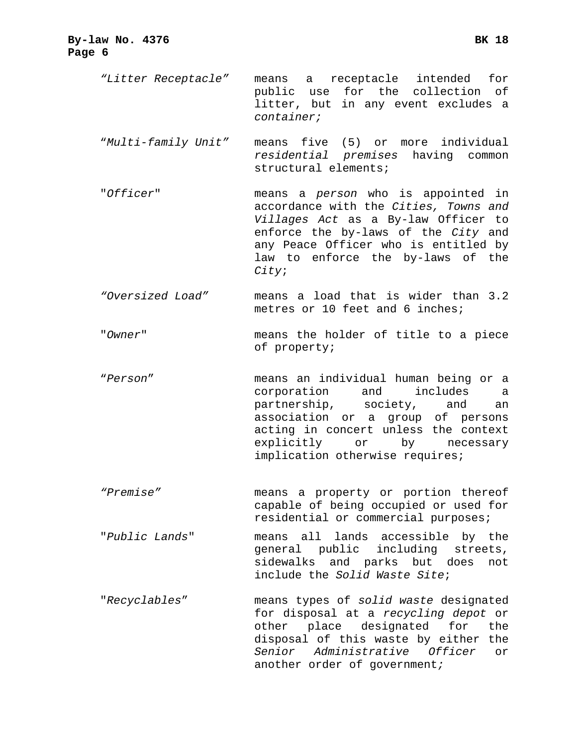- *"Litter Receptacle"* means a receptacle intended for public use for the collection of litter, but in any event excludes a *container;*
- "*Multi-family Unit"* means five (5) or more individual *residential premises* having common structural elements;
- "*Officer*" means a *person* who is appointed in accordance with the *Cities, Towns and Villages Act* as a By-law Officer to enforce the by-laws of the *City* and any Peace Officer who is entitled by law to enforce the by-laws of the *City*;
- *"Oversized Load"* means a load that is wider than 3.2 metres or 10 feet and 6 inches;
- "*Owner*" means the holder of title to a piece of property;
- "*Person*" means an individual human being or a corporation and includes a partnership, society, and an association or a group of persons acting in concert unless the context explicitly or by necessary implication otherwise requires;
- *"Premise"* means a property or portion thereof capable of being occupied or used for residential or commercial purposes;
- "*Public Lands*" means all lands accessible by the general public including streets, sidewalks and parks but does not include the *Solid Waste Site*;
- "*Recyclables*" means types of *solid waste* designated for disposal at a *recycling depot* or other place designated for the disposal of this waste by either the *Senior Administrative Officer* or another order of government*;*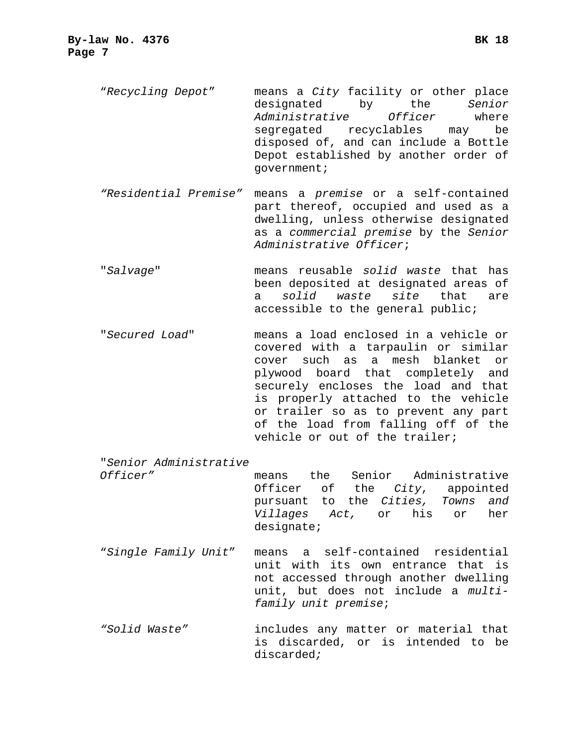"*Recycling Depot*" means a *City* facility or other place designated by the *Senior Administrative Officer* where segregated recyclables may be disposed of, and can include a Bottle Depot established by another order of government;

- *"Residential Premise"* means a *premise* or a self-contained part thereof, occupied and used as a dwelling, unless otherwise designated as a *commercial premise* by the *Senior Administrative Officer*;
- "*Salvage*" means reusable *solid waste* that has been deposited at designated areas of a *solid waste site* that are accessible to the general public;
- "*Secured Load*" means a load enclosed in a vehicle or covered with a tarpaulin or similar cover such as a mesh blanket or plywood board that completely and securely encloses the load and that is properly attached to the vehicle or trailer so as to prevent any part of the load from falling off of the vehicle or out of the trailer;
- "*Senior Administrative*

*Officer"* means the Senior Administrative Officer of the *City*, appointed pursuant to the *Cities, Towns and Villages Act,* or his or her designate;

- "*Single Family Unit*" means a self-contained residential unit with its own entrance that is not accessed through another dwelling unit, but does not include a *multifamily unit premise*;
- *"Solid Waste"* includes any matter or material that is discarded, or is intended to be discarded*;*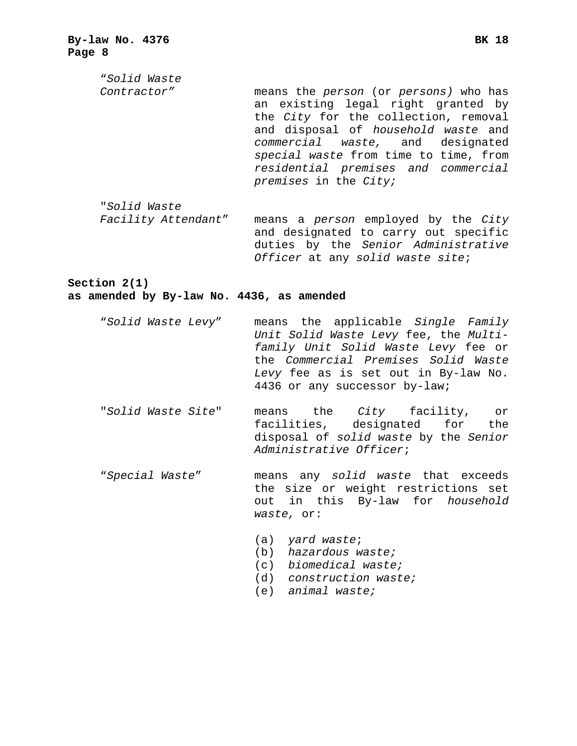"*Solid Waste Contractor"* means the *person* (or *persons)* who has an existing legal right granted by the *City* for the collection, removal and disposal of *household waste* and *commercial waste,* and designated *special waste* from time to time, from *residential premises and commercial premises* in the *City;* 

*Officer* at any *solid waste site*;

"*Solid Waste Facility Attendant*" means a *person* employed by the *City*  and designated to carry out specific duties by the *Senior Administrative* 

**Section 2(1)** 

**as amended by By-law No. 4436, as amended** 

- "*Solid Waste Levy*" means the applicable *Single Family Unit Solid Waste Levy* fee, the *Multifamily Unit Solid Waste Levy* fee or the *Commercial Premises Solid Waste Levy* fee as is set out in By-law No. 4436 or any successor by-law;
- "*Solid Waste Site*" means the *City* facility, or facilities, designated for the disposal of *solid waste* by the *Senior Administrative Officer*;
- "*Special Waste*" means any *solid waste* that exceeds the size or weight restrictions set out in this By-law for *household waste,* or:
	- (a) *yard waste*;
	- (b) *hazardous waste;*
	- (c) *biomedical waste;*
	- (d) *construction waste;*
	- (e) *animal waste;*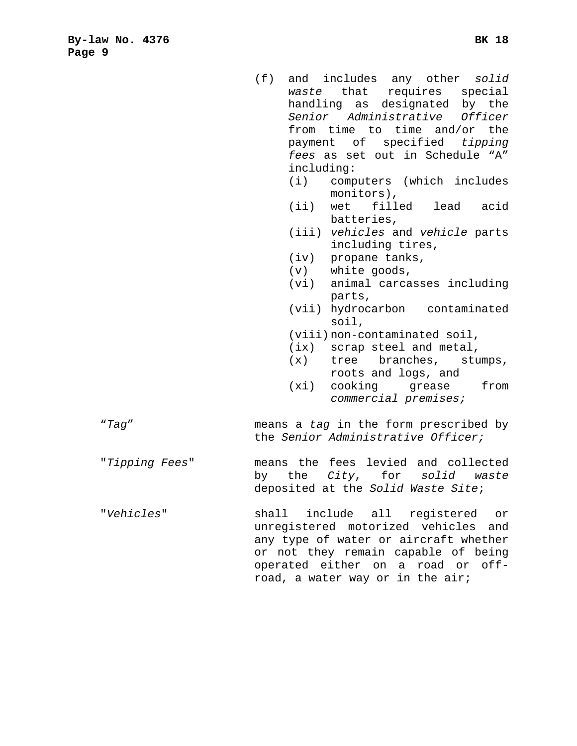including: (i) computers (which includes monitors),

*fees* as set out in Schedule "A"

- (ii) wet filled lead acid batteries,
- (iii) *vehicles* and *vehicle* parts including tires,
- (iv) propane tanks,
- (v) white goods,
- (vi) animal carcasses including parts,
- (vii) hydrocarbon contaminated soil,
- (viii) non-contaminated soil,
- (ix) scrap steel and metal,
- (x) tree branches, stumps, roots and logs, and
- (xi) cooking grease from *commercial premises;*
- "*Tag*" means a *tag* in the form prescribed by the *Senior Administrative Officer;*
- "*Tipping Fees*" means the fees levied and collected by the *City*, for *solid waste*  deposited at the *Solid Waste Site*;
- "*Vehicles*" shall include all registered or unregistered motorized vehicles and any type of water or aircraft whether or not they remain capable of being operated either on a road or offroad, a water way or in the air;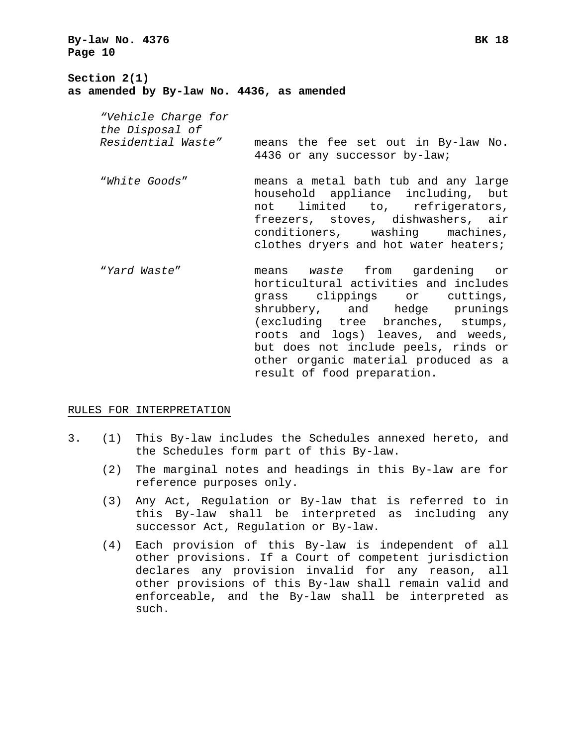**By-law No. 4376 BK 18 Page 10**

**Section 2(1) as amended by By-law No. 4436, as amended** 

> *"Vehicle Charge for the Disposal of Residential Waste"* means the fee set out in By-law No. 4436 or any successor by-law;

- "*White Goods*" means a metal bath tub and any large household appliance including, but not limited to, refrigerators, freezers, stoves, dishwashers, air conditioners, washing machines, clothes dryers and hot water heaters;
- "*Yard Waste*" means *waste* from gardening or horticultural activities and includes grass clippings or cuttings, shrubbery, and hedge prunings (excluding tree branches, stumps, roots and logs) leaves, and weeds, but does not include peels, rinds or other organic material produced as a result of food preparation.

#### RULES FOR INTERPRETATION

- 3. (1) This By-law includes the Schedules annexed hereto, and the Schedules form part of this By-law.
	- (2) The marginal notes and headings in this By-law are for reference purposes only.
	- (3) Any Act, Regulation or By-law that is referred to in this By-law shall be interpreted as including any successor Act, Regulation or By-law.
	- (4) Each provision of this By-law is independent of all other provisions. If a Court of competent jurisdiction declares any provision invalid for any reason, all other provisions of this By-law shall remain valid and enforceable, and the By-law shall be interpreted as such.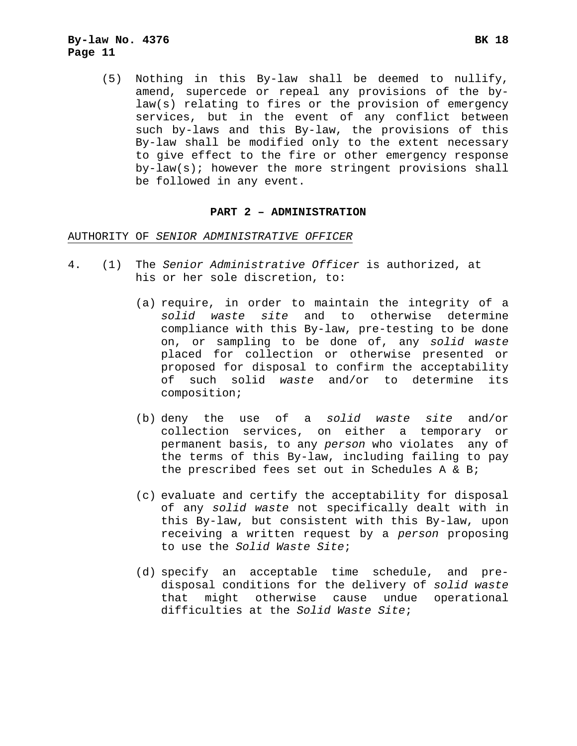(5) Nothing in this By-law shall be deemed to nullify, amend, supercede or repeal any provisions of the bylaw(s) relating to fires or the provision of emergency services, but in the event of any conflict between such by-laws and this By-law, the provisions of this By-law shall be modified only to the extent necessary to give effect to the fire or other emergency response by-law(s); however the more stringent provisions shall be followed in any event.

#### **PART 2 – ADMINISTRATION**

#### AUTHORITY OF *SENIOR ADMINISTRATIVE OFFICER*

- 4. (1) The *Senior Administrative Officer* is authorized, at his or her sole discretion, to:
	- (a) require, in order to maintain the integrity of a *solid waste site* and to otherwise determine compliance with this By-law, pre-testing to be done on, or sampling to be done of, any *solid waste* placed for collection or otherwise presented or proposed for disposal to confirm the acceptability of such solid *waste* and/or to determine its composition;
	- (b) deny the use of a *solid waste site* and/or collection services, on either a temporary or permanent basis, to any *person* who violates any of the terms of this By-law, including failing to pay the prescribed fees set out in Schedules A & B;
	- (c) evaluate and certify the acceptability for disposal of any *solid waste* not specifically dealt with in this By-law, but consistent with this By-law, upon receiving a written request by a *person* proposing to use the *Solid Waste Site*;
	- (d) specify an acceptable time schedule, and predisposal conditions for the delivery of *solid waste* that might otherwise cause undue operational difficulties at the *Solid Waste Site*;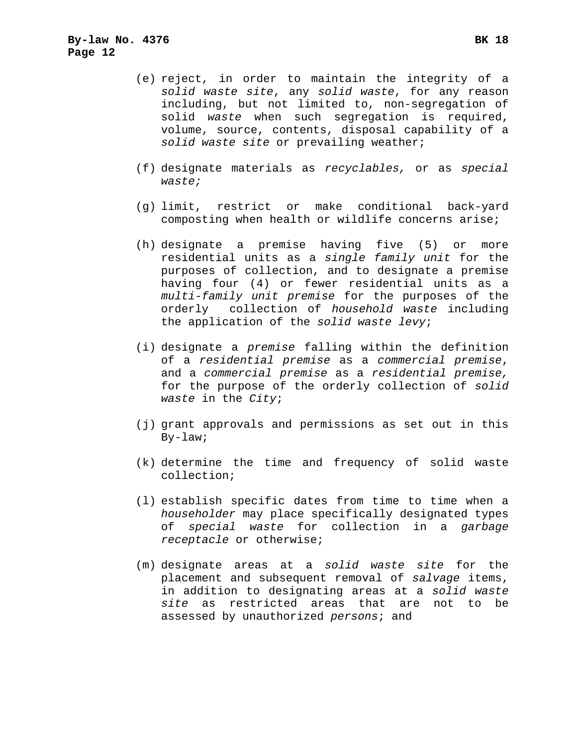- (e) reject, in order to maintain the integrity of a *solid waste site*, any *solid waste*, for any reason including, but not limited to, non-segregation of solid *waste* when such segregation is required, volume, source, contents, disposal capability of a *solid waste site* or prevailing weather;
- (f) designate materials as *recyclables,* or as *special waste;*
- (g) limit, restrict or make conditional back-yard composting when health or wildlife concerns arise;
- (h) designate a premise having five (5) or more residential units as a *single family unit* for the purposes of collection, and to designate a premise having four (4) or fewer residential units as a *multi-family unit premise* for the purposes of the orderly collection of *household waste* including the application of the *solid waste levy*;
- (i) designate a *premise* falling within the definition of a *residential premise* as a *commercial premise*, and a *commercial premise* as a *residential premise,*  for the purpose of the orderly collection of *solid waste* in the *City*;
- (j) grant approvals and permissions as set out in this By-law;
- (k) determine the time and frequency of solid waste collection;
- (l) establish specific dates from time to time when a *householder* may place specifically designated types of *special waste* for collection in a *garbage receptacle* or otherwise;
- (m) designate areas at a *solid waste site* for the placement and subsequent removal of *salvage* items, in addition to designating areas at a *solid waste site* as restricted areas that are not to be assessed by unauthorized *persons*; and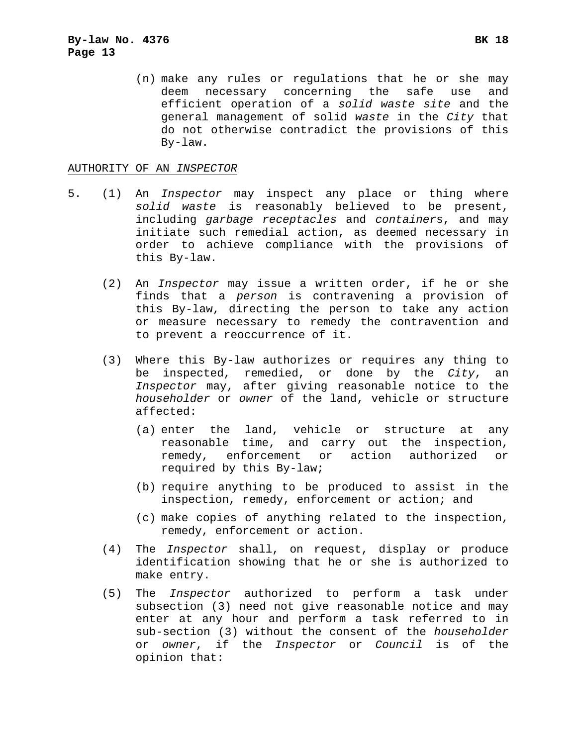#### AUTHORITY OF AN *INSPECTOR*

- 5. (1) An *Inspector* may inspect any place or thing where *solid waste* is reasonably believed to be present, including *garbage receptacles* and *container*s, and may initiate such remedial action, as deemed necessary in order to achieve compliance with the provisions of this By-law.
	- (2) An *Inspector* may issue a written order, if he or she finds that a *person* is contravening a provision of this By-law, directing the person to take any action or measure necessary to remedy the contravention and to prevent a reoccurrence of it.
	- (3) Where this By-law authorizes or requires any thing to be inspected, remedied, or done by the *City*, an *Inspector* may, after giving reasonable notice to the *householder* or *owner* of the land, vehicle or structure affected:
		- (a) enter the land, vehicle or structure at any reasonable time, and carry out the inspection, remedy, enforcement or action authorized or required by this By-law;
		- (b) require anything to be produced to assist in the inspection, remedy, enforcement or action; and
		- (c) make copies of anything related to the inspection, remedy, enforcement or action.
	- (4) The *Inspector* shall, on request, display or produce identification showing that he or she is authorized to make entry.
	- (5) The *Inspector* authorized to perform a task under subsection (3) need not give reasonable notice and may enter at any hour and perform a task referred to in sub-section (3) without the consent of the *householder*  or *owner*, if the *Inspector* or *Council* is of the opinion that: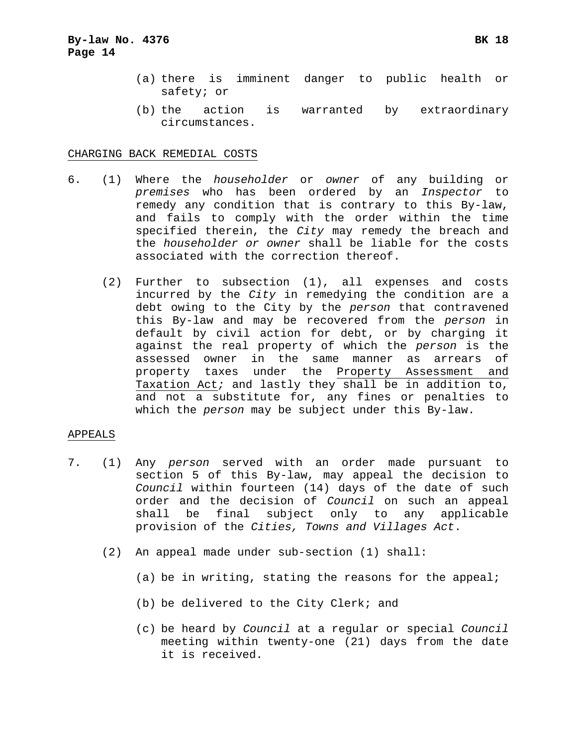- (a) there is imminent danger to public health or safety; or
- (b) the action is warranted by extraordinary circumstances.

#### CHARGING BACK REMEDIAL COSTS

- 6. (1) Where the *householder* or *owner* of any building or *premises* who has been ordered by an *Inspector* to remedy any condition that is contrary to this By-law, and fails to comply with the order within the time specified therein, the *City* may remedy the breach and the *householder or owner* shall be liable for the costs associated with the correction thereof.
	- (2) Further to subsection (1), all expenses and costs incurred by the *City* in remedying the condition are a debt owing to the City by the *person* that contravened this By-law and may be recovered from the *person* in default by civil action for debt, or by charging it against the real property of which the *person* is the assessed owner in the same manner as arrears of property taxes under the Property Assessment and Taxation Act*;* and lastly they shall be in addition to, and not a substitute for, any fines or penalties to which the *person* may be subject under this By-law.

#### APPEALS

- 7. (1) Any *person* served with an order made pursuant to section 5 of this By-law, may appeal the decision to *Council* within fourteen (14) days of the date of such order and the decision of *Council* on such an appeal shall be final subject only to any applicable provision of the *Cities, Towns and Villages Act*.
	- (2) An appeal made under sub-section (1) shall:
		- (a) be in writing, stating the reasons for the appeal;
		- (b) be delivered to the City Clerk; and
		- (c) be heard by *Council* at a regular or special *Council* meeting within twenty-one (21) days from the date it is received.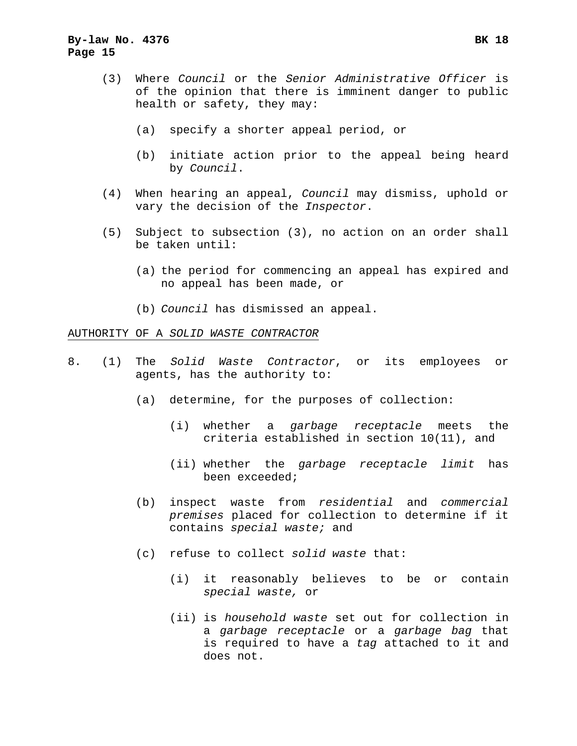## **By-law No. 4376 BK 18 Page 15**

- (3) Where *Council* or the *Senior Administrative Officer* is of the opinion that there is imminent danger to public health or safety, they may:
	- (a) specify a shorter appeal period, or
	- (b) initiate action prior to the appeal being heard by *Council*.
- (4) When hearing an appeal, *Council* may dismiss, uphold or vary the decision of the *Inspector*.
- (5) Subject to subsection (3), no action on an order shall be taken until:
	- (a) the period for commencing an appeal has expired and no appeal has been made, or
	- (b) *Council* has dismissed an appeal.

## AUTHORITY OF A *SOLID WASTE CONTRACTOR*

- 8. (1) The *Solid Waste Contractor*, or its employees or agents, has the authority to:
	- (a) determine, for the purposes of collection:
		- (i) whether a *garbage receptacle* meets the criteria established in section 10(11), and
		- (ii) whether the *garbage receptacle limit* has been exceeded;
	- (b) inspect waste from *residential* and *commercial premises* placed for collection to determine if it contains *special waste;* and
	- (c) refuse to collect *solid waste* that:
		- (i) it reasonably believes to be or contain *special waste,* or
		- (ii) is *household waste* set out for collection in a *garbage receptacle* or a *garbage bag* that is required to have a *tag* attached to it and does not.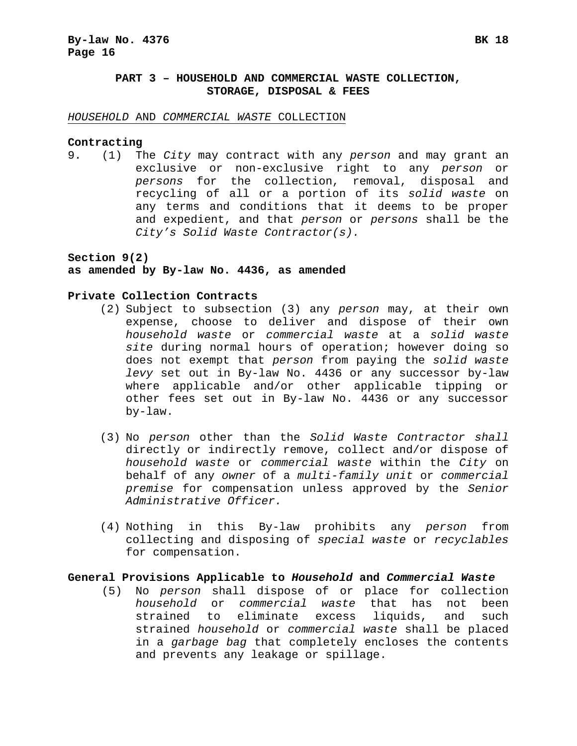## **PART 3 – HOUSEHOLD AND COMMERCIAL WASTE COLLECTION, STORAGE, DISPOSAL & FEES**

#### *HOUSEHOLD* AND *COMMERCIAL WASTE* COLLECTION

#### **Contracting**

9. (1) The *City* may contract with any *person* and may grant an exclusive or non-exclusive right to any *person* or *persons* for the collection, removal, disposal and recycling of all or a portion of its *solid waste* on any terms and conditions that it deems to be proper and expedient, and that *person* or *persons* shall be the *City's Solid Waste Contractor(s).*

#### **Section 9(2)**

### **as amended by By-law No. 4436, as amended**

#### **Private Collection Contracts**

- (2) Subject to subsection (3) any *person* may, at their own expense, choose to deliver and dispose of their own *household waste* or *commercial waste* at a *solid waste site* during normal hours of operation; however doing so does not exempt that *person* from paying the *solid waste levy* set out in By-law No. 4436 or any successor by-law where applicable and/or other applicable tipping or other fees set out in By-law No. 4436 or any successor by-law.
- (3) No *person* other than the *Solid Waste Contractor shall* directly or indirectly remove, collect and/or dispose of *household waste* or *commercial waste* within the *City* on behalf of any *owner* of a *multi-family unit* or *commercial premise* for compensation unless approved by the *Senior Administrative Officer.*
- (4) Nothing in this By-law prohibits any *person* from collecting and disposing of *special waste* or *recyclables* for compensation.

#### **General Provisions Applicable to** *Household* **and** *Commercial Waste*

 (5) No *person* shall dispose of or place for collection *household* or *commercial waste* that has not been strained to eliminate excess liquids, and such strained *household* or *commercial waste* shall be placed in a *garbage bag* that completely encloses the contents and prevents any leakage or spillage.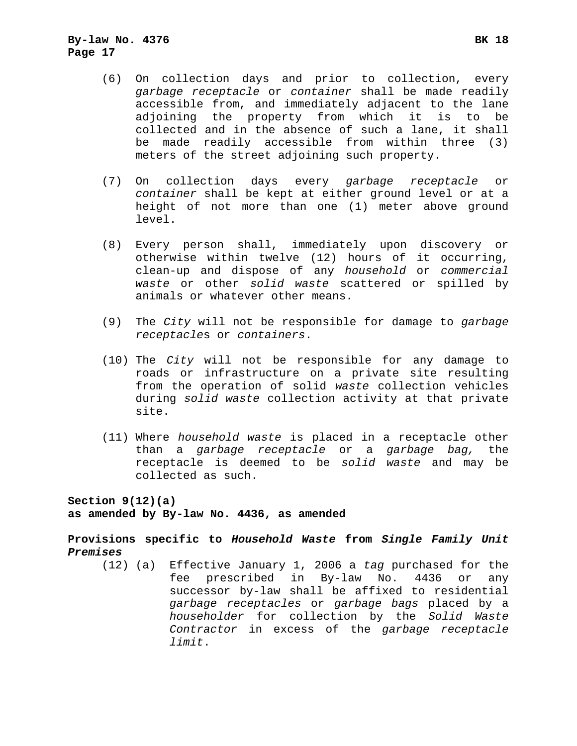- (6) On collection days and prior to collection, every *garbage receptacle* or *container* shall be made readily accessible from, and immediately adjacent to the lane adjoining the property from which it is to be collected and in the absence of such a lane, it shall be made readily accessible from within three (3) meters of the street adjoining such property.
- (7) On collection days every *garbage receptacle* or *container* shall be kept at either ground level or at a height of not more than one (1) meter above ground level.
- (8) Every person shall, immediately upon discovery or otherwise within twelve (12) hours of it occurring, clean-up and dispose of any *household* or *commercial waste* or other *solid waste* scattered or spilled by animals or whatever other means.
- (9) The *City* will not be responsible for damage to *garbage receptacle*s or *containers*.
- (10) The *City* will not be responsible for any damage to roads or infrastructure on a private site resulting from the operation of solid *waste* collection vehicles during *solid waste* collection activity at that private site.
- (11) Where *household waste* is placed in a receptacle other than a *garbage receptacle* or a *garbage bag,* the receptacle is deemed to be *solid waste* and may be collected as such.

**Section 9(12)(a)** 

**as amended by By-law No. 4436, as amended** 

**Provisions specific to** *Household Waste* **from** *Single Family Unit Premises* 

 (12) (a) Effective January 1, 2006 a *tag* purchased for the fee prescribed in By-law No. 4436 or any successor by-law shall be affixed to residential *garbage receptacles* or *garbage bags* placed by a *householder* for collection by the *Solid Waste Contractor* in excess of the *garbage receptacle limit*.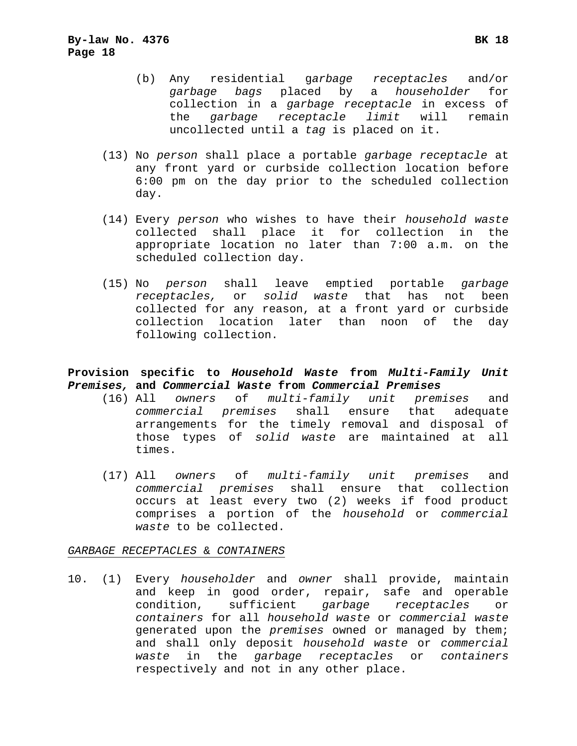- (b) Any residential g*arbage receptacles* and/or *garbage bags* placed by a *householder* for collection in a *garbage receptacle* in excess of the *garbage receptacle limit* will remain uncollected until a *tag* is placed on it.
- (13) No *person* shall place a portable *garbage receptacle* at any front yard or curbside collection location before 6:00 pm on the day prior to the scheduled collection day.
- (14) Every *person* who wishes to have their *household waste* collected shall place it for collection in the appropriate location no later than 7:00 a.m. on the scheduled collection day.
- (15) No *person* shall leave emptied portable *garbage receptacles,* or *solid waste* that has not been collected for any reason, at a front yard or curbside collection location later than noon of the day following collection.

## **Provision specific to** *Household Waste* **from** *Multi-Family Unit Premises,* **and** *Commercial Waste* **from** *Commercial Premises*

- (16) All *owners* of *multi-family unit premises* and *commercial premises* shall ensure that adequate arrangements for the timely removal and disposal of those types of *solid waste* are maintained at all times.
- (17) All *owners* of *multi-family unit premises* and *commercial premises* shall ensure that collection occurs at least every two (2) weeks if food product comprises a portion of the *household* or *commercial waste* to be collected.

#### *GARBAGE RECEPTACLES* & *CONTAINERS*

10. (1) Every *householder* and *owner* shall provide, maintain and keep in good order, repair, safe and operable condition, sufficient *garbage receptacles* or *containers* for all *household waste* or *commercial waste* generated upon the *premises* owned or managed by them; and shall only deposit *household waste* or *commercial waste* in the *garbage receptacles* or *containers*  respectively and not in any other place.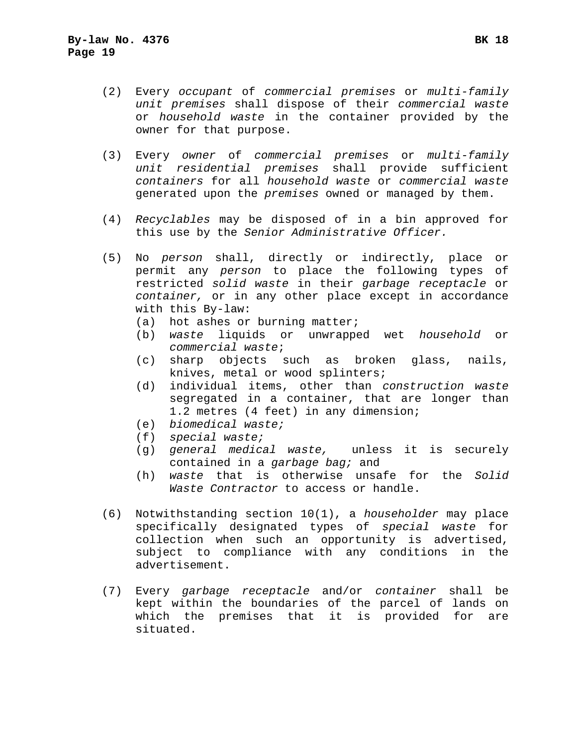- (2) Every *occupant* of *commercial premises* or *multi-family unit premises* shall dispose of their *commercial waste*  or *household waste* in the container provided by the owner for that purpose.
- (3) Every *owner* of *commercial premises* or *multi-family unit residential premises* shall provide sufficient *containers* for all *household waste* or *commercial waste* generated upon the *premises* owned or managed by them.
- (4) *Recyclables* may be disposed of in a bin approved for this use by the *Senior Administrative Officer.*
- (5) No *person* shall, directly or indirectly, place or permit any *person* to place the following types of restricted *solid waste* in their *garbage receptacle* or *container,* or in any other place except in accordance with this By-law:
	- (a) hot ashes or burning matter;
	- (b) *waste* liquids or unwrapped wet *household* or *commercial waste*;
	- (c) sharp objects such as broken glass, nails, knives, metal or wood splinters;
	- (d) individual items, other than *construction waste*  segregated in a container, that are longer than 1.2 metres (4 feet) in any dimension;
	- (e) *biomedical waste;*
	- (f) *special waste;*
	- (g) *general medical waste,* unless it is securely contained in a *garbage bag;* and
	- (h) *waste* that is otherwise unsafe for the *Solid Waste Contractor* to access or handle.
- (6) Notwithstanding section 10(1), a *householder* may place specifically designated types of *special waste* for collection when such an opportunity is advertised, subject to compliance with any conditions in the advertisement.
- (7) Every *garbage receptacle* and/or *container* shall be kept within the boundaries of the parcel of lands on which the premises that it is provided for are situated.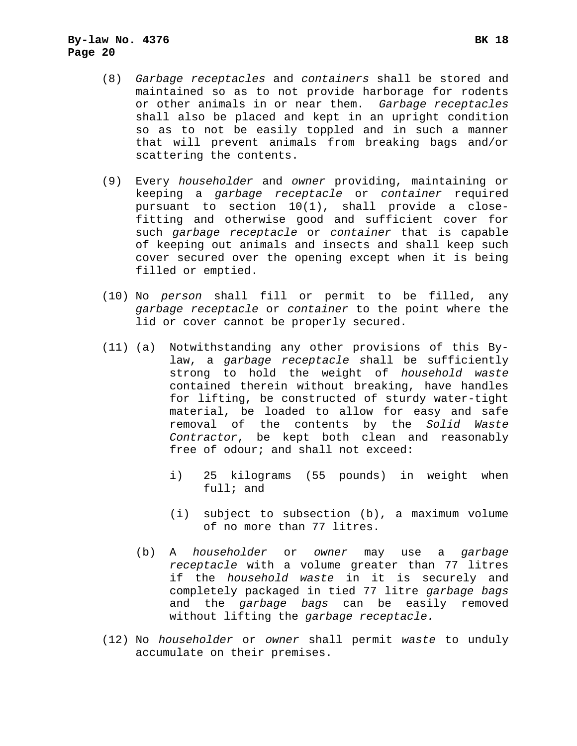- (8) *Garbage receptacles* and *containers* shall be stored and maintained so as to not provide harborage for rodents or other animals in or near them. *Garbage receptacles*  shall also be placed and kept in an upright condition so as to not be easily toppled and in such a manner that will prevent animals from breaking bags and/or scattering the contents.
- (9) Every *householder* and *owner* providing, maintaining or keeping a *garbage receptacle* or *container* required pursuant to section 10(1), shall provide a closefitting and otherwise good and sufficient cover for such *garbage receptacle* or *container* that is capable of keeping out animals and insects and shall keep such cover secured over the opening except when it is being filled or emptied.
- (10) No *person* shall fill or permit to be filled, any *garbage receptacle* or *container* to the point where the lid or cover cannot be properly secured.
- (11) (a) Notwithstanding any other provisions of this Bylaw, a *garbage receptacle s*hall be sufficiently strong to hold the weight of *household waste*  contained therein without breaking, have handles for lifting, be constructed of sturdy water-tight material, be loaded to allow for easy and safe removal of the contents by the *Solid Waste Contractor*, be kept both clean and reasonably free of odour; and shall not exceed:
	- i) 25 kilograms (55 pounds) in weight when full; and
	- (i) subject to subsection (b), a maximum volume of no more than 77 litres.
	- (b) A *householder* or *owner* may use a *garbage receptacle* with a volume greater than 77 litres if the *household waste* in it is securely and completely packaged in tied 77 litre *garbage bags*  and the *garbage bags* can be easily removed without lifting the *garbage receptacle.*
- (12) No *householder* or *owner* shall permit *waste* to unduly accumulate on their premises.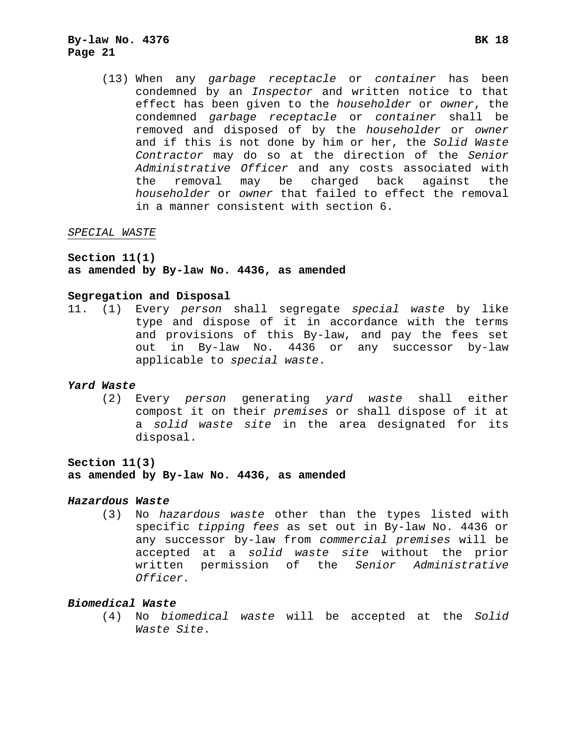(13) When any *garbage receptacle* or *container* has been condemned by an *Inspector* and written notice to that effect has been given to the *householder* or *owner*, the condemned *garbage receptacle* or *container* shall be removed and disposed of by the *householder* or *owner* and if this is not done by him or her, the *Solid Waste Contractor* may do so at the direction of the *Senior Administrative Officer* and any costs associated with the removal may be charged back against the *householder* or *owner* that failed to effect the removal in a manner consistent with section 6.

#### *SPECIAL WASTE*

**Section 11(1)** 

#### **as amended by By-law No. 4436, as amended**

#### **Segregation and Disposal**

11. (1) Every *person* shall segregate *special waste* by like type and dispose of it in accordance with the terms and provisions of this By-law, and pay the fees set out in By-law No. 4436 or any successor by-law applicable to *special waste*.

#### *Yard Waste*

 (2) Every *person* generating *yard waste* shall either compost it on their *premises* or shall dispose of it at a *solid waste site* in the area designated for its disposal.

**Section 11(3)** 

**as amended by By-law No. 4436, as amended** 

#### *Hazardous Waste*

 (3) No *hazardous waste* other than the types listed with specific *tipping fees* as set out in By-law No. 4436 or any successor by-law from *commercial premises* will be accepted at a *solid waste site* without the prior written permission of the *Senior Administrative Officer.*

#### *Biomedical Waste*

 (4) No *biomedical waste* will be accepted at the *Solid Waste Site*.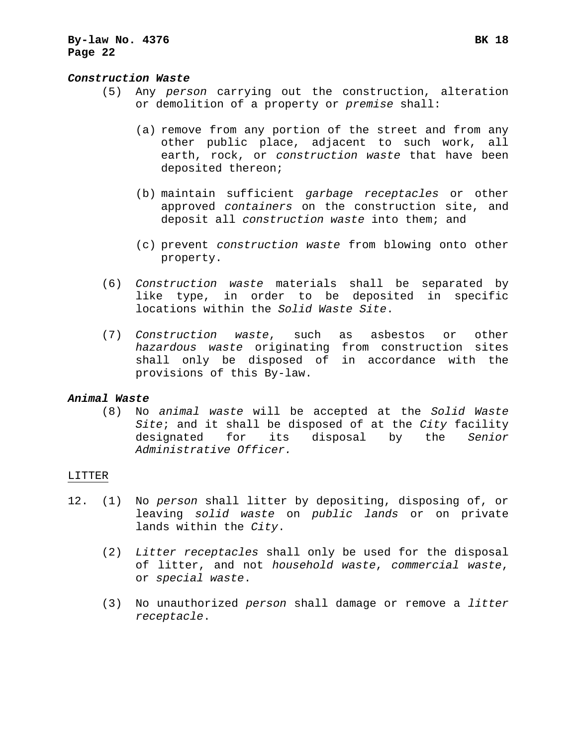#### *Construction Waste*

- (5) Any *person* carrying out the construction, alteration or demolition of a property or *premise* shall:
	- (a) remove from any portion of the street and from any other public place, adjacent to such work, all earth, rock, or *construction waste* that have been deposited thereon;
	- (b) maintain sufficient *garbage receptacles* or other approved *containers* on the construction site, and deposit all *construction waste* into them; and
	- (c) prevent *construction waste* from blowing onto other property.
- (6) *Construction waste* materials shall be separated by like type, in order to be deposited in specific locations within the *Solid Waste Site*.
- (7) *Construction waste*, such as asbestos or other *hazardous waste* originating from construction sites shall only be disposed of in accordance with the provisions of this By-law.

#### *Animal Waste*

 (8) No *animal waste* will be accepted at the *Solid Waste Site*; and it shall be disposed of at the *City* facility designated for its disposal by the *Senior Administrative Officer.*

### LITTER

- 12. (1) No *person* shall litter by depositing, disposing of, or leaving *solid waste* on *public lands* or on private lands within the *City*.
	- (2) *Litter receptacles* shall only be used for the disposal of litter, and not *household waste*, *commercial waste*, or *special waste*.
	- (3) No unauthorized *person* shall damage or remove a *litter receptacle*.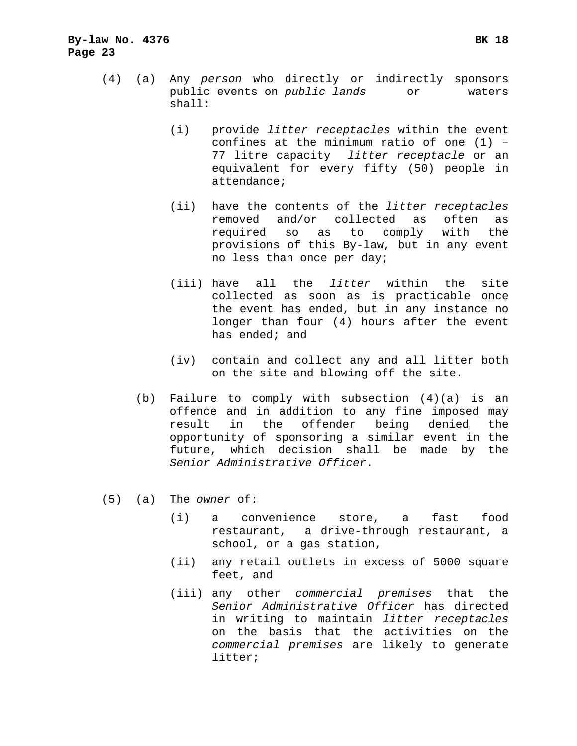- (4) (a) Any *person* who directly or indirectly sponsors public events on *public lands* or waters shall:
	- (i) provide *litter receptacles* within the event confines at the minimum ratio of one (1) – 77 litre capacity *litter receptacle* or an equivalent for every fifty (50) people in attendance;
	- (ii) have the contents of the *litter receptacles*  removed and/or collected as often as required so as to comply with the provisions of this By-law, but in any event no less than once per day;
	- (iii) have all the *litter* within the site collected as soon as is practicable once the event has ended, but in any instance no longer than four (4) hours after the event has ended; and
	- (iv) contain and collect any and all litter both on the site and blowing off the site.
	- (b) Failure to comply with subsection (4)(a) is an offence and in addition to any fine imposed may result in the offender being denied the opportunity of sponsoring a similar event in the future, which decision shall be made by the *Senior Administrative Officer*.
- (5) (a) The *owner* of:
	- (i) a convenience store, a fast food restaurant, a drive-through restaurant, a school, or a gas station,
	- (ii) any retail outlets in excess of 5000 square feet, and
	- (iii) any other *commercial premises* that the *Senior Administrative Officer* has directed in writing to maintain *litter receptacles*  on the basis that the activities on the *commercial premises* are likely to generate litter;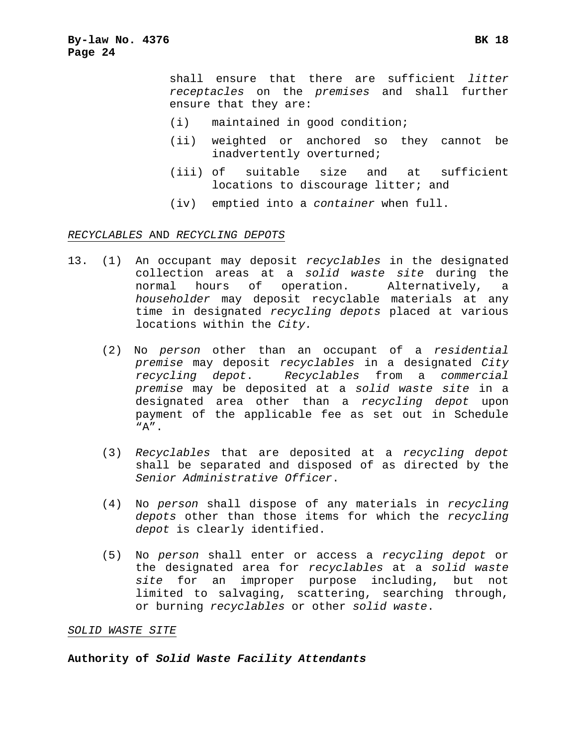shall ensure that there are sufficient *litter receptacles* on the *premises* and shall further ensure that they are:

- (i) maintained in good condition;
- (ii) weighted or anchored so they cannot be inadvertently overturned;
- (iii) of suitable size and at sufficient locations to discourage litter; and
- (iv) emptied into a *container* when full.

#### *RECYCLABLES* AND *RECYCLING DEPOTS*

- 13. (1) An occupant may deposit *recyclables* in the designated collection areas at a *solid waste site* during the normal hours of operation. Alternatively, a *householder* may deposit recyclable materials at any time in designated *recycling depots* placed at various locations within the *City.* 
	- (2) No *person* other than an occupant of a *residential premise* may deposit *recyclables* in a designated *City recycling depot*. *Recyclables* from a *commercial premise* may be deposited at a *solid waste site* in a designated area other than a *recycling depot* upon payment of the applicable fee as set out in Schedule "A".
	- (3) *Recyclables* that are deposited at a *recycling depot* shall be separated and disposed of as directed by the *Senior Administrative Officer*.
	- (4) No *person* shall dispose of any materials in *recycling depots* other than those items for which the *recycling depot* is clearly identified.
	- (5) No *person* shall enter or access a *recycling depot* or the designated area for *recyclables* at a *solid waste site* for an improper purpose including, but not limited to salvaging, scattering, searching through, or burning *recyclables* or other *solid waste*.

#### *SOLID WASTE SITE*

**Authority of** *Solid Waste Facility Attendants*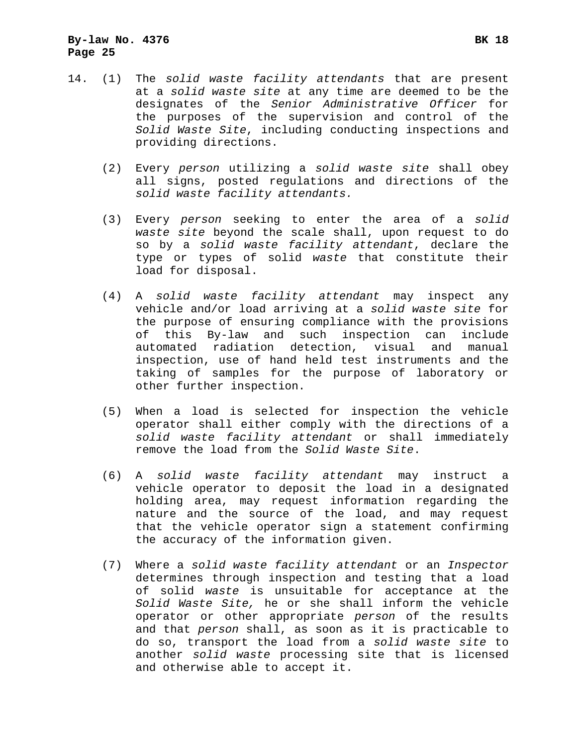- 14. (1) The *solid waste facility attendants* that are present at a *solid waste site* at any time are deemed to be the designates of the *Senior Administrative Officer* for the purposes of the supervision and control of the *Solid Waste Site*, including conducting inspections and providing directions.
	- (2) Every *person* utilizing a *solid waste site* shall obey all signs, posted regulations and directions of the *solid waste facility attendants.*
	- (3) Every *person* seeking to enter the area of a *solid waste site* beyond the scale shall, upon request to do so by a *solid waste facility attendant*, declare the type or types of solid *waste* that constitute their load for disposal.
	- (4) A *solid waste facility attendant* may inspect any vehicle and/or load arriving at a *solid waste site* for the purpose of ensuring compliance with the provisions of this By-law and such inspection can include automated radiation detection, visual and manual inspection, use of hand held test instruments and the taking of samples for the purpose of laboratory or other further inspection.
	- (5) When a load is selected for inspection the vehicle operator shall either comply with the directions of a *solid waste facility attendant* or shall immediately remove the load from the *Solid Waste Site*.
	- (6) A *solid waste facility attendant* may instruct a vehicle operator to deposit the load in a designated holding area, may request information regarding the nature and the source of the load, and may request that the vehicle operator sign a statement confirming the accuracy of the information given.
	- (7) Where a *solid waste facility attendant* or an *Inspector*  determines through inspection and testing that a load of solid *waste* is unsuitable for acceptance at the *Solid Waste Site,* he or she shall inform the vehicle operator or other appropriate *person* of the results and that *person* shall, as soon as it is practicable to do so, transport the load from a *solid waste site* to another *solid waste* processing site that is licensed and otherwise able to accept it.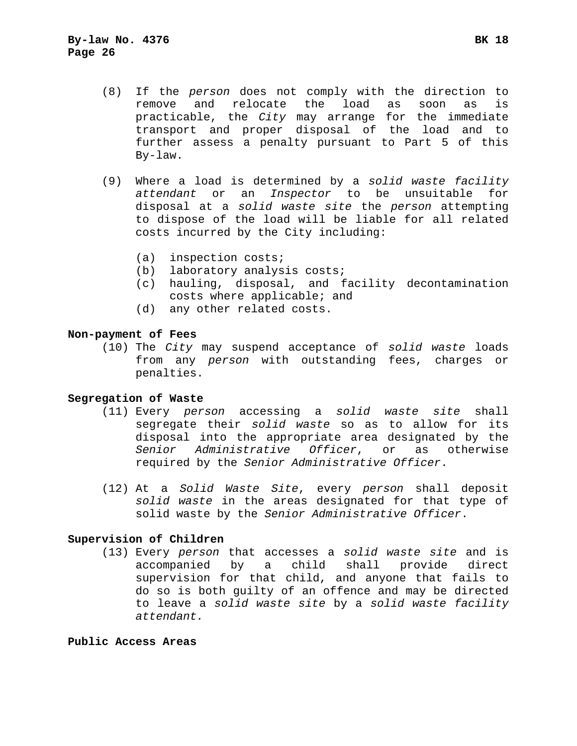- (8) If the *person* does not comply with the direction to remove and relocate the load as soon as is practicable, the *City* may arrange for the immediate transport and proper disposal of the load and to further assess a penalty pursuant to Part 5 of this By-law.
- (9) Where a load is determined by a *solid waste facility attendant* or an *Inspector* to be unsuitable for disposal at a *solid waste site* the *person* attempting to dispose of the load will be liable for all related costs incurred by the City including:
	- (a) inspection costs;
	- (b) laboratory analysis costs;
	- (c) hauling, disposal, and facility decontamination costs where applicable; and
	- (d) any other related costs.

#### **Non-payment of Fees**

 (10) The *City* may suspend acceptance of *solid waste* loads from any *person* with outstanding fees, charges or penalties.

#### **Segregation of Waste**

- (11) Every *person* accessing a *solid waste site* shall segregate their *solid waste* so as to allow for its disposal into the appropriate area designated by the *Senior Administrative Officer*, or as otherwise required by the *Senior Administrative Officer*.
- (12) At a *Solid Waste Site*, every *person* shall deposit *solid waste* in the areas designated for that type of solid waste by the *Senior Administrative Officer*.

#### **Supervision of Children**

 (13) Every *person* that accesses a *solid waste site* and is accompanied by a child shall provide direct supervision for that child, and anyone that fails to do so is both guilty of an offence and may be directed to leave a *solid waste site* by a *solid waste facility attendant.*

## **Public Access Areas**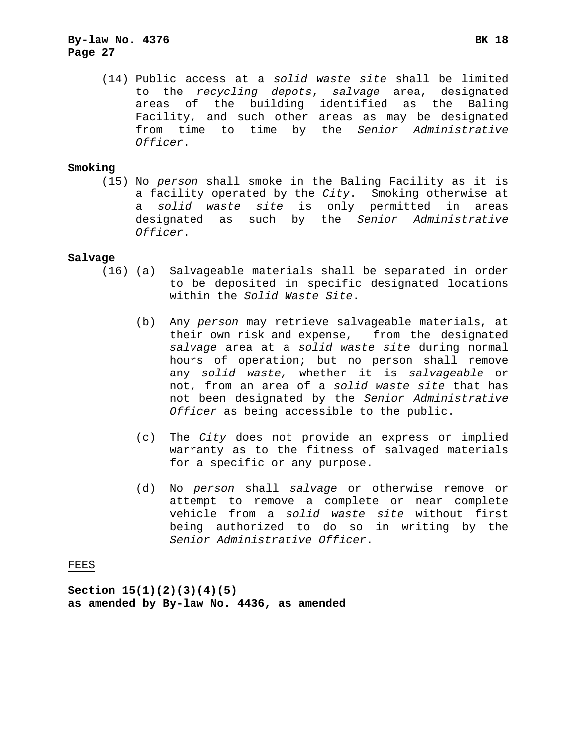## **By-law No. 4376 BK 18 Page 27**

 (14) Public access at a *solid waste site* shall be limited to the *recycling depots*, *salvage* area, designated areas of the building identified as the Baling Facility, and such other areas as may be designated from time to time by the *Senior Administrative Officer*.

#### **Smoking**

 (15) No *person* shall smoke in the Baling Facility as it is a facility operated by the *City*. Smoking otherwise at a *solid waste site* is only permitted in areas designated as such by the *Senior Administrative Officer*.

#### **Salvage**

- (16) (a) Salvageable materials shall be separated in order to be deposited in specific designated locations within the *Solid Waste Site*.
	- (b) Any *person* may retrieve salvageable materials, at their own risk and expense, from the designated *salvage* area at a *solid waste site* during normal hours of operation; but no person shall remove any *solid waste,* whether it is *salvageable* or not, from an area of a *solid waste site* that has not been designated by the *Senior Administrative Officer* as being accessible to the public.
	- (c) The *City* does not provide an express or implied warranty as to the fitness of salvaged materials for a specific or any purpose.
	- (d) No *person* shall *salvage* or otherwise remove or attempt to remove a complete or near complete vehicle from a *solid waste site* without first being authorized to do so in writing by the *Senior Administrative Officer*.

## FEES

**Section 15(1)(2)(3)(4)(5) as amended by By-law No. 4436, as amended**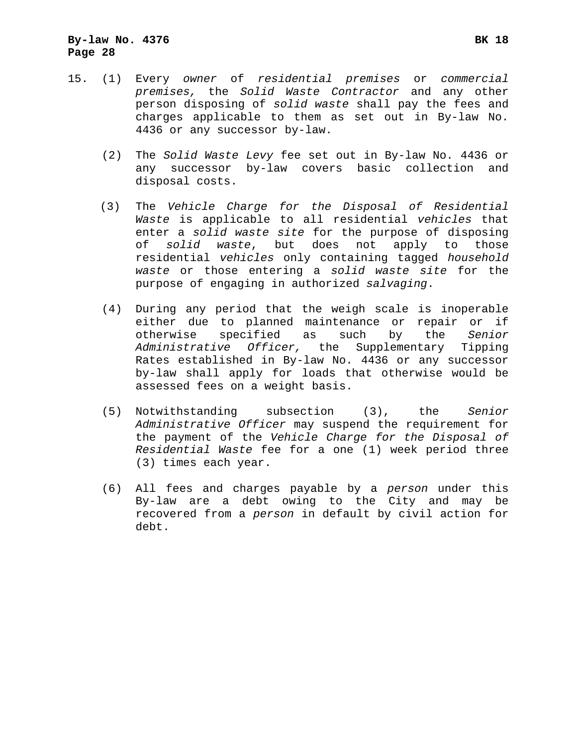- (2) The *Solid Waste Levy* fee set out in By-law No. 4436 or any successor by-law covers basic collection and disposal costs.
- (3) The *Vehicle Charge for the Disposal of Residential Waste* is applicable to all residential *vehicles* that enter a *solid waste site* for the purpose of disposing of *solid waste*, but does not apply to those residential *vehicles* only containing tagged *household waste* or those entering a *solid waste site* for the purpose of engaging in authorized *salvaging*.
- (4) During any period that the weigh scale is inoperable either due to planned maintenance or repair or if otherwise specified as such by the *Senior Administrative Officer,* the Supplementary Tipping Rates established in By-law No. 4436 or any successor by-law shall apply for loads that otherwise would be assessed fees on a weight basis.
- (5) Notwithstanding subsection (3), the *Senior Administrative Officer* may suspend the requirement for the payment of the *Vehicle Charge for the Disposal of Residential Waste* fee for a one (1) week period three (3) times each year.
- (6) All fees and charges payable by a *person* under this By-law are a debt owing to the City and may be recovered from a *person* in default by civil action for debt.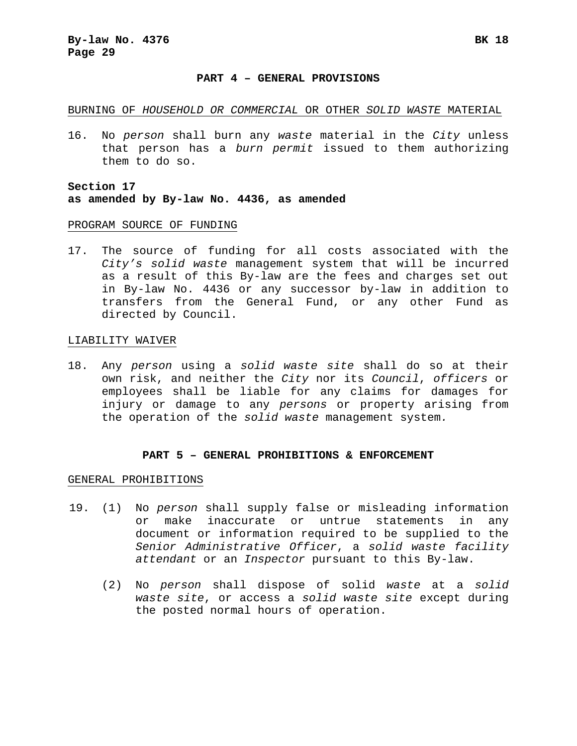#### **PART 4 – GENERAL PROVISIONS**

#### BURNING OF *HOUSEHOLD OR COMMERCIAL* OR OTHER *SOLID WASTE* MATERIAL

16. No *person* shall burn any *waste* material in the *City* unless that person has a *burn permit* issued to them authorizing them to do so.

## **Section 17 as amended by By-law No. 4436, as amended**

#### PROGRAM SOURCE OF FUNDING

17. The source of funding for all costs associated with the *City's solid waste* management system that will be incurred as a result of this By-law are the fees and charges set out in By-law No. 4436 or any successor by-law in addition to transfers from the General Fund, or any other Fund as directed by Council.

#### LIABILITY WAIVER

18. Any *person* using a *solid waste site* shall do so at their own risk, and neither the *City* nor its *Council*, *officers* or employees shall be liable for any claims for damages for injury or damage to any *persons* or property arising from the operation of the *solid waste* management system*.* 

## **PART 5 – GENERAL PROHIBITIONS & ENFORCEMENT**

#### GENERAL PROHIBITIONS

- 19. (1) No *person* shall supply false or misleading information or make inaccurate or untrue statements in any document or information required to be supplied to the *Senior Administrative Officer*, a *solid waste facility attendant* or an *Inspector* pursuant to this By-law.
	- (2) No *person* shall dispose of solid *waste* at a *solid waste site*, or access a *solid waste site* except during the posted normal hours of operation.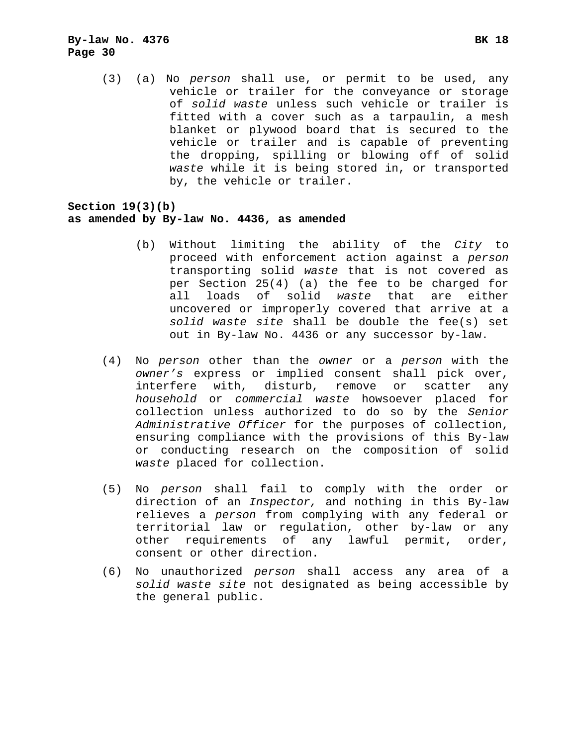(3) (a) No *person* shall use, or permit to be used, any vehicle or trailer for the conveyance or storage of *solid waste* unless such vehicle or trailer is fitted with a cover such as a tarpaulin, a mesh blanket or plywood board that is secured to the vehicle or trailer and is capable of preventing the dropping, spilling or blowing off of solid *waste* while it is being stored in, or transported by, the vehicle or trailer.

## **Section 19(3)(b) as amended by By-law No. 4436, as amended**

- (b) Without limiting the ability of the *City* to proceed with enforcement action against a *person* transporting solid *waste* that is not covered as per Section 25(4) (a) the fee to be charged for all loads of solid *waste* that are either uncovered or improperly covered that arrive at a *solid waste site* shall be double the fee(s) set out in By-law No. 4436 or any successor by-law.
- (4) No *person* other than the *owner* or a *person* with the *owner's* express or implied consent shall pick over, interfere with, disturb, remove or scatter any *household* or *commercial waste* howsoever placed for collection unless authorized to do so by the *Senior Administrative Officer* for the purposes of collection, ensuring compliance with the provisions of this By-law or conducting research on the composition of solid *waste* placed for collection.
- (5) No *person* shall fail to comply with the order or direction of an *Inspector,* and nothing in this By-law relieves a *person* from complying with any federal or territorial law or regulation, other by-law or any other requirements of any lawful permit, order, consent or other direction.
- (6) No unauthorized *person* shall access any area of a *solid waste site* not designated as being accessible by the general public.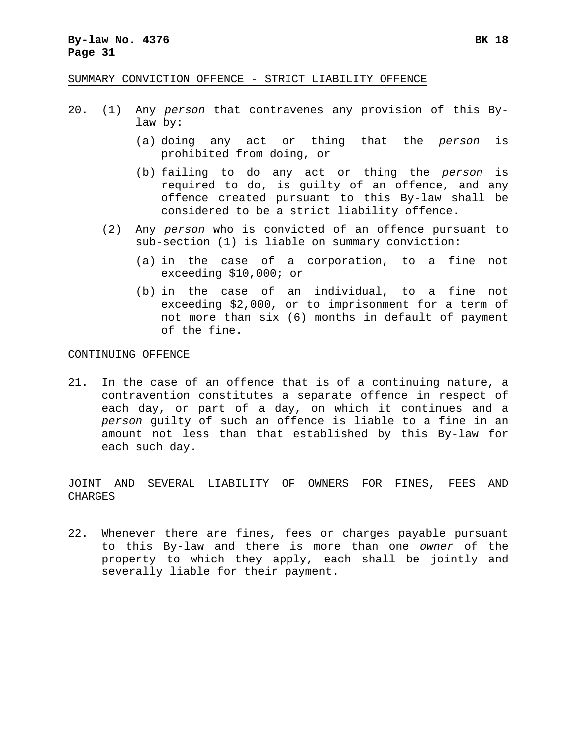#### **By-law No. 4376 BK 18 Page 31**

SUMMARY CONVICTION OFFENCE - STRICT LIABILITY OFFENCE

- 20. (1) Any *person* that contravenes any provision of this Bylaw by:
	- (a) doing any act or thing that the *person* is prohibited from doing, or
	- (b) failing to do any act or thing the *person* is required to do, is guilty of an offence, and any offence created pursuant to this By-law shall be considered to be a strict liability offence.
	- (2) Any *person* who is convicted of an offence pursuant to sub-section (1) is liable on summary conviction:
		- (a) in the case of a corporation, to a fine not exceeding \$10,000; or
		- (b) in the case of an individual, to a fine not exceeding \$2,000, or to imprisonment for a term of not more than six (6) months in default of payment of the fine.

#### CONTINUING OFFENCE

21. In the case of an offence that is of a continuing nature, a contravention constitutes a separate offence in respect of each day, or part of a day, on which it continues and a *person* guilty of such an offence is liable to a fine in an amount not less than that established by this By-law for each such day.

## JOINT AND SEVERAL LIABILITY OF OWNERS FOR FINES, FEES AND CHARGES

22. Whenever there are fines, fees or charges payable pursuant to this By-law and there is more than one *owner* of the property to which they apply, each shall be jointly and severally liable for their payment.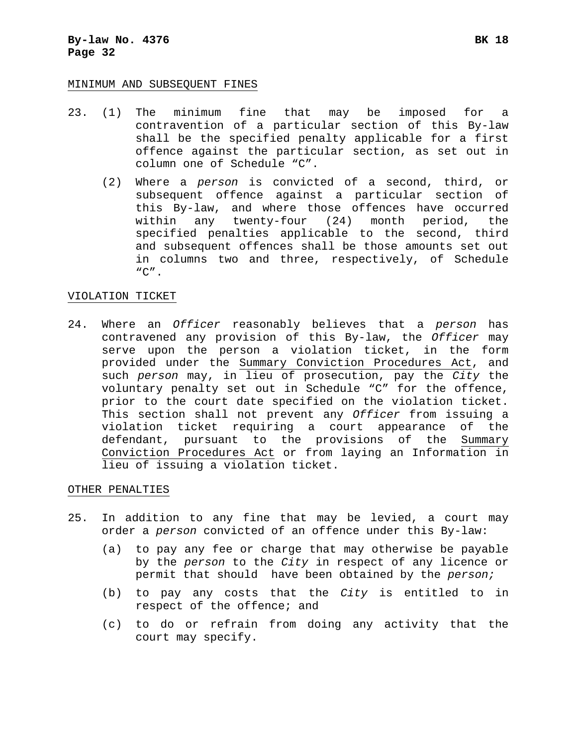#### MINIMUM AND SUBSEQUENT FINES

- 23. (1) The minimum fine that may be imposed for a contravention of a particular section of this By-law shall be the specified penalty applicable for a first offence against the particular section, as set out in column one of Schedule "C".
	- (2) Where a *person* is convicted of a second, third, or subsequent offence against a particular section of this By-law, and where those offences have occurred within any twenty-four (24) month period, the specified penalties applicable to the second, third and subsequent offences shall be those amounts set out in columns two and three, respectively, of Schedule  $C''$ .

#### VIOLATION TICKET

24. Where an *Officer* reasonably believes that a *person* has contravened any provision of this By-law, the *Officer* may serve upon the person a violation ticket, in the form provided under the Summary Conviction Procedures Act, and such *person* may, in lieu of prosecution, pay the *City* the voluntary penalty set out in Schedule "C" for the offence, prior to the court date specified on the violation ticket. This section shall not prevent any *Officer* from issuing a violation ticket requiring a court appearance of the defendant, pursuant to the provisions of the Summary Conviction Procedures Act or from laying an Information in lieu of issuing a violation ticket.

#### OTHER PENALTIES

- 25. In addition to any fine that may be levied, a court may order a *person* convicted of an offence under this By-law:
	- (a) to pay any fee or charge that may otherwise be payable by the *person* to the *City* in respect of any licence or permit that should have been obtained by the *person;*
	- (b) to pay any costs that the *City* is entitled to in respect of the offence; and
	- (c) to do or refrain from doing any activity that the court may specify.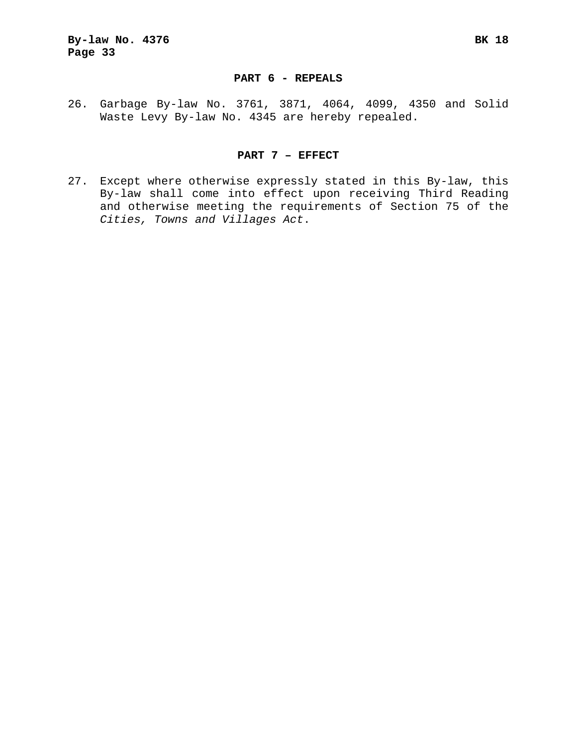### **PART 6 - REPEALS**

26. Garbage By-law No. 3761, 3871, 4064, 4099, 4350 and Solid Waste Levy By-law No. 4345 are hereby repealed.

## **PART 7 – EFFECT**

27. Except where otherwise expressly stated in this By-law, this By-law shall come into effect upon receiving Third Reading and otherwise meeting the requirements of Section 75 of the *Cities, Towns and Villages Act*.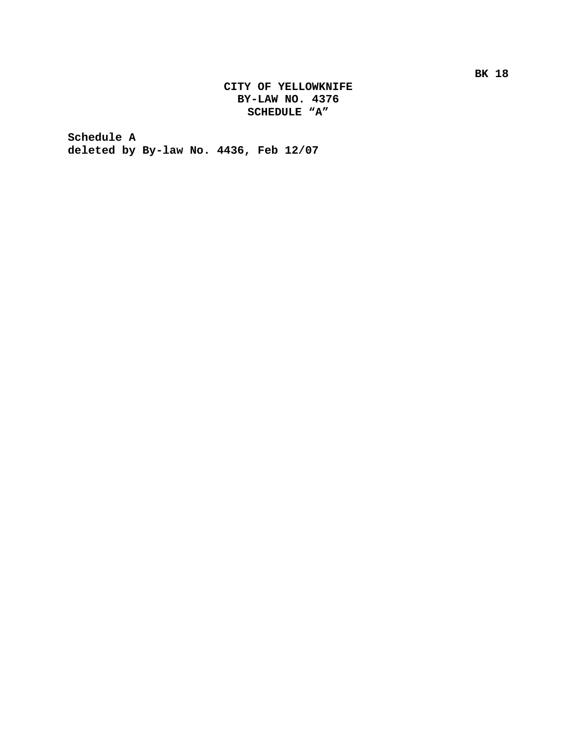## **CITY OF YELLOWKNIFE BY-LAW NO. 4376 SCHEDULE "A"**

**Schedule A deleted by By-law No. 4436, Feb 12/07**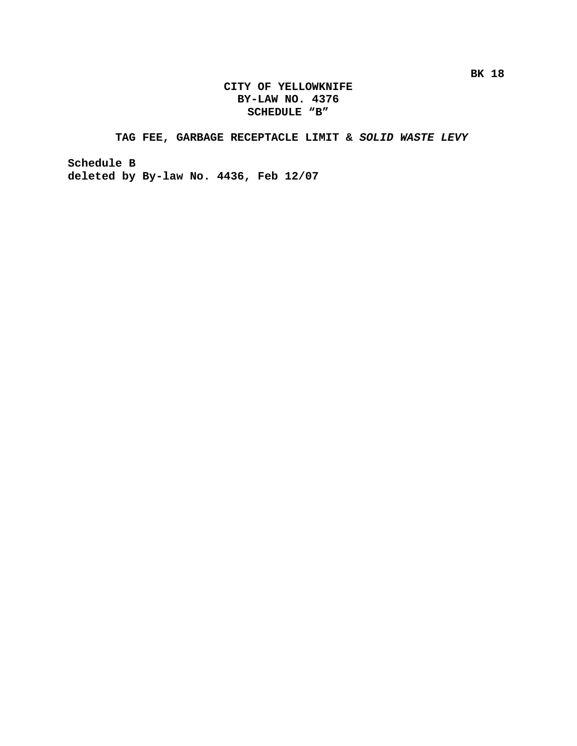## **CITY OF YELLOWKNIFE BY-LAW NO. 4376 SCHEDULE "B"**

## **TAG FEE, GARBAGE RECEPTACLE LIMIT &** *SOLID WASTE LEVY*

**Schedule B deleted by By-law No. 4436, Feb 12/07**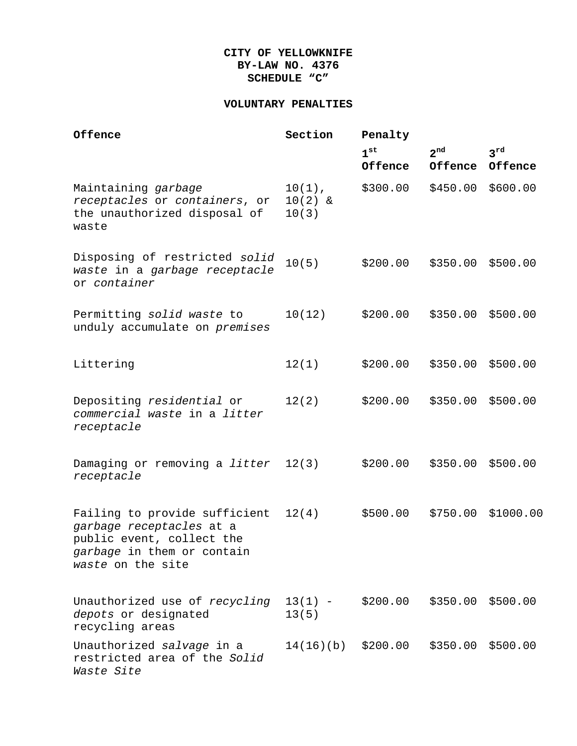## **CITY OF YELLOWKNIFE BY-LAW NO. 4376 SCHEDULE "C"**

## **VOLUNTARY PENALTIES**

| Offence                                                                                                                                   | Section                         | Penalty             |                     |                     |  |
|-------------------------------------------------------------------------------------------------------------------------------------------|---------------------------------|---------------------|---------------------|---------------------|--|
|                                                                                                                                           |                                 | $1^{st}$<br>Offence | $2^{nd}$<br>Offence | $3^{rd}$<br>Offence |  |
| Maintaining garbage<br>receptacles or containers, or<br>the unauthorized disposal of<br>waste                                             | $10(1)$ ,<br>$10(2)$ &<br>10(3) | \$300.00            | \$450.00            | \$600.00            |  |
| Disposing of restricted solid<br>waste in a garbage receptacle<br>or container                                                            | 10(5)                           | \$200.00            | \$350.00            | \$500.00            |  |
| Permitting solid waste to<br>unduly accumulate on premises                                                                                | 10(12)                          | \$200.00            | \$350.00            | \$500.00            |  |
| Littering                                                                                                                                 | 12(1)                           | \$200.00            | \$350.00            | \$500.00            |  |
| Depositing residential or<br>commercial waste in a litter<br>receptacle                                                                   | 12(2)                           | \$200.00            | \$350.00            | \$500.00            |  |
| Damaging or removing a litter<br>receptacle                                                                                               | 12(3)                           | \$200.00            | \$350.00            | \$500.00            |  |
| Failing to provide sufficient<br>garbage receptacles at a<br>public event, collect the<br>garbage in them or contain<br>waste on the site | 12(4)                           | \$500.00            | \$750.00            | \$1000.00           |  |
| Unauthorized use of recycling<br>depots or designated<br>recycling areas                                                                  | $13(1) -$<br>13(5)              | \$200.00            | \$350.00 \$500.00   |                     |  |
| Unauthorized salvage in a<br>restricted area of the Solid<br>Waste Site                                                                   | 14(16)(b)                       | \$200.00            | \$350.00            | \$500.00            |  |